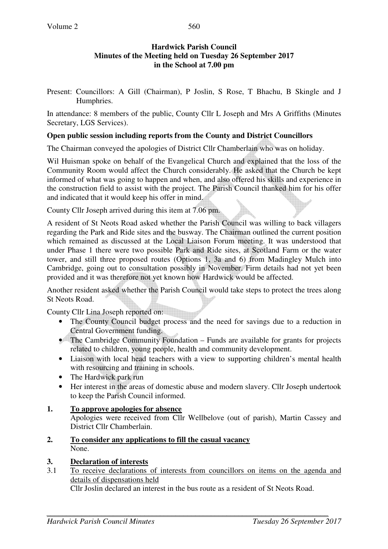# **Hardwick Parish Council Minutes of the Meeting held on Tuesday 26 September 2017 in the School at 7.00 pm**

560

Present: Councillors: A Gill (Chairman), P Joslin, S Rose, T Bhachu, B Skingle and J Humphries.

In attendance: 8 members of the public, County Cllr L Joseph and Mrs A Griffiths (Minutes Secretary, LGS Services).

# **Open public session including reports from the County and District Councillors**

The Chairman conveyed the apologies of District Cllr Chamberlain who was on holiday.

Wil Huisman spoke on behalf of the Evangelical Church and explained that the loss of the Community Room would affect the Church considerably. He asked that the Church be kept informed of what was going to happen and when, and also offered his skills and experience in the construction field to assist with the project. The Parish Council thanked him for his offer and indicated that it would keep his offer in mind.

County Cllr Joseph arrived during this item at 7.06 pm.

A resident of St Neots Road asked whether the Parish Council was willing to back villagers regarding the Park and Ride sites and the busway. The Chairman outlined the current position which remained as discussed at the Local Liaison Forum meeting. It was understood that under Phase 1 there were two possible Park and Ride sites, at Scotland Farm or the water tower, and still three proposed routes (Options 1, 3a and 6) from Madingley Mulch into Cambridge, going out to consultation possibly in November. Firm details had not yet been provided and it was therefore not yet known how Hardwick would be affected.

Another resident asked whether the Parish Council would take steps to protect the trees along St Neots Road.

County Cllr Lina Joseph reported on:

- The County Council budget process and the need for savings due to a reduction in Central Government funding.
- The Cambridge Community Foundation Funds are available for grants for projects related to children, young people, health and community development.
- Liaison with local head teachers with a view to supporting children's mental health with resourcing and training in schools.
- The Hardwick park run
- Her interest in the areas of domestic abuse and modern slavery. Cllr Joseph undertook to keep the Parish Council informed.

# **1. To approve apologies for absence**

Apologies were received from Cllr Wellbelove (out of parish), Martin Cassey and District Cllr Chamberlain.

**2. To consider any applications to fill the casual vacancy** None.

# **3. Declaration of interests**

3.1 To receive declarations of interests from councillors on items on the agenda and details of dispensations held

Cllr Joslin declared an interest in the bus route as a resident of St Neots Road.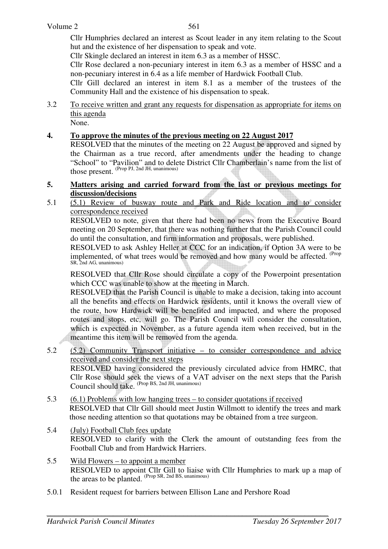Cllr Humphries declared an interest as Scout leader in any item relating to the Scout hut and the existence of her dispensation to speak and vote.

Cllr Skingle declared an interest in item 6.3 as a member of HSSC.

Cllr Rose declared a non-pecuniary interest in item 6.3 as a member of HSSC and a non-pecuniary interest in 6.4 as a life member of Hardwick Football Club.

Cllr Gill declared an interest in item 8.1 as a member of the trustees of the Community Hall and the existence of his dispensation to speak.

- 3.2 To receive written and grant any requests for dispensation as appropriate for items on this agenda None.
- **4. To approve the minutes of the previous meeting on 22 August 2017**

RESOLVED that the minutes of the meeting on 22 August be approved and signed by the Chairman as a true record, after amendments under the heading to change "School" to "Pavilion" and to delete District Cllr Chamberlain's name from the list of those present. (Prop PJ, 2nd JH, unanimous)

#### **5. Matters arising and carried forward from the last or previous meetings for discussion/decisions**

5.1 (5.1) Review of busway route and Park and Ride location and to consider correspondence received

 RESOLVED to note, given that there had been no news from the Executive Board meeting on 20 September, that there was nothing further that the Parish Council could do until the consultation, and firm information and proposals, were published.

RESOLVED to ask Ashley Heller at CCC for an indication, if Option 3A were to be implemented, of what trees would be removed and how many would be affected. <sup>(Prop</sup> SR, 2nd AG, unanimous)

 RESOLVED that Cllr Rose should circulate a copy of the Powerpoint presentation which CCC was unable to show at the meeting in March.

 RESOLVED that the Parish Council is unable to make a decision, taking into account all the benefits and effects on Hardwick residents, until it knows the overall view of the route, how Hardwick will be benefited and impacted, and where the proposed routes and stops, etc, will go. The Parish Council will consider the consultation, which is expected in November, as a future agenda item when received, but in the meantime this item will be removed from the agenda.

5.2 (5.2) Community Transport initiative – to consider correspondence and advice received and consider the next steps

RESOLVED having considered the previously circulated advice from HMRC, that Cllr Rose should seek the views of a VAT adviser on the next steps that the Parish Council should take. (Prop BS, 2nd JH, unanimous)

- 5.3 (6.1) Problems with low hanging trees to consider quotations if received RESOLVED that Cllr Gill should meet Justin Willmott to identify the trees and mark those needing attention so that quotations may be obtained from a tree surgeon.
- 5.4 (July) Football Club fees update RESOLVED to clarify with the Clerk the amount of outstanding fees from the Football Club and from Hardwick Harriers.
- 5.5 Wild Flowers to appoint a member RESOLVED to appoint Cllr Gill to liaise with Cllr Humphries to mark up a map of the areas to be planted. (Prop SR, 2nd BS, unanimous)
- 5.0.1 Resident request for barriers between Ellison Lane and Pershore Road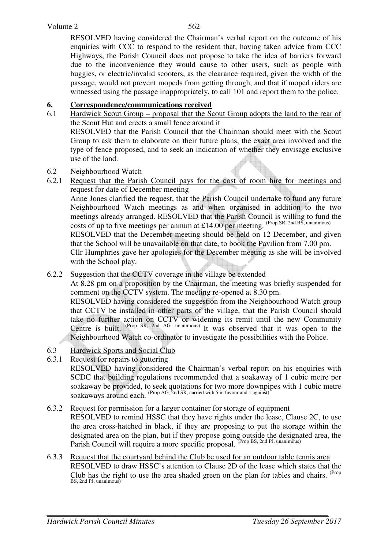RESOLVED having considered the Chairman's verbal report on the outcome of his enquiries with CCC to respond to the resident that, having taken advice from CCC Highways, the Parish Council does not propose to take the idea of barriers forward due to the inconvenience they would cause to other users, such as people with buggies, or electric/invalid scooters, as the clearance required, given the width of the passage, would not prevent mopeds from getting through, and that if moped riders are witnessed using the passage inappropriately, to call 101 and report them to the police.

## **6. Correspondence/communications received**

6.1 Hardwick Scout Group – proposal that the Scout Group adopts the land to the rear of the Scout Hut and erects a small fence around it

RESOLVED that the Parish Council that the Chairman should meet with the Scout Group to ask them to elaborate on their future plans, the exact area involved and the type of fence proposed, and to seek an indication of whether they envisage exclusive use of the land.

- 6.2 Neighbourhood Watch
- 6.2.1 Request that the Parish Council pays for the cost of room hire for meetings and request for date of December meeting

Anne Jones clarified the request, that the Parish Council undertake to fund any future Neighbourhood Watch meetings as and when organised in addition to the two meetings already arranged. RESOLVED that the Parish Council is willing to fund the costs of up to five meetings per annum at £14.00 per meeting. (Prop SR, 2nd BS, unanimous)

RESOLVED that the December meeting should be held on 12 December, and given that the School will be unavailable on that date, to book the Pavilion from 7.00 pm.

Cllr Humphries gave her apologies for the December meeting as she will be involved with the School play.

## 6.2.2 Suggestion that the CCTV coverage in the village be extended

 At 8.28 pm on a proposition by the Chairman, the meeting was briefly suspended for comment on the CCTV system. The meeting re-opened at 8.30 pm.

RESOLVED having considered the suggestion from the Neighbourhood Watch group that CCTV be installed in other parts of the village, that the Parish Council should take no further action on CCTV or widening its remit until the new Community Centre is built. <sup>(Prop SR, 2nd AG, unanimous)</sup> It was observed that it was open to the Neighbourhood Watch co-ordinator to investigate the possibilities with the Police.

- 6.3 Hardwick Sports and Social Club
- 6.3.1 Request for repairs to guttering

 RESOLVED having considered the Chairman's verbal report on his enquiries with SCDC that building regulations recommended that a soakaway of 1 cubic metre per soakaway be provided, to seek quotations for two more downpipes with 1 cubic metre soakaways around each. (Prop AG, 2nd SR, carried with 5 in favour and 1 against)

#### 6.3.2 Request for permission for a larger container for storage of equipment

 RESOLVED to remind HSSC that they have rights under the lease, Clause 2C, to use the area cross-hatched in black, if they are proposing to put the storage within the designated area on the plan, but if they propose going outside the designated area, the Parish Council will require a more specific proposal. (Prop BS, 2nd PJ, unanimous)

6.3.3 Request that the courtyard behind the Club be used for an outdoor table tennis area RESOLVED to draw HSSC's attention to Clause 2D of the lease which states that the Club has the right to use the area shaded green on the plan for tables and chairs. <sup>(Prop</sup>) BS, 2nd PJ, unanimous)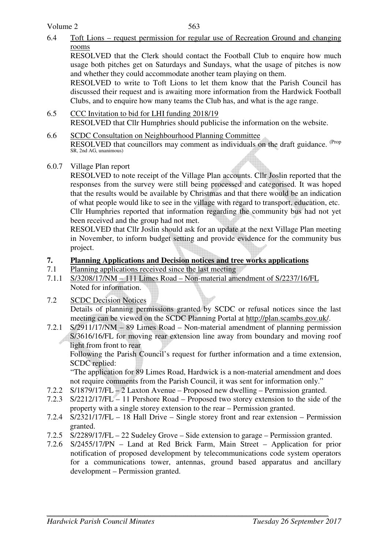6.4 Toft Lions – request permission for regular use of Recreation Ground and changing rooms

 RESOLVED that the Clerk should contact the Football Club to enquire how much usage both pitches get on Saturdays and Sundays, what the usage of pitches is now and whether they could accommodate another team playing on them.

 RESOLVED to write to Toft Lions to let them know that the Parish Council has discussed their request and is awaiting more information from the Hardwick Football Clubs, and to enquire how many teams the Club has, and what is the age range.

- 6.5 CCC Invitation to bid for LHI funding 2018/19 RESOLVED that Cllr Humphries should publicise the information on the website.
- 6.6 SCDC Consultation on Neighbourhood Planning Committee RESOLVED that councillors may comment as individuals on the draft guidance. <sup>(Prop</sup> SR, 2nd AG, unanimous)
- 6.0.7 Village Plan report

RESOLVED to note receipt of the Village Plan accounts. Cllr Joslin reported that the responses from the survey were still being processed and categorised. It was hoped that the results would be available by Christmas and that there would be an indication of what people would like to see in the village with regard to transport, education, etc. Cllr Humphries reported that information regarding the community bus had not yet been received and the group had not met.

RESOLVED that Cllr Joslin should ask for an update at the next Village Plan meeting in November, to inform budget setting and provide evidence for the community bus project.

- **7. Planning Applications and Decision notices and tree works applications**
- 7.1 Planning applications received since the last meeting
- 7.1.1 S/3208/17/NM 111 Limes Road Non-material amendment of S/2237/16/FL Noted for information.
- 7.2 SCDC Decision Notices

Details of planning permissions granted by SCDC or refusal notices since the last meeting can be viewed on the SCDC Planning Portal at http://plan.scambs.gov.uk/.

7.2.1 S/2911/17/NM – 89 Limes Road – Non-material amendment of planning permission S/3616/16/FL for moving rear extension line away from boundary and moving roof light from front to rear

 Following the Parish Council's request for further information and a time extension, SCDC replied:

 "The application for 89 Limes Road, Hardwick is a non-material amendment and does not require comments from the Parish Council, it was sent for information only."

- 7.2.2 S/1879/17/FL 2 Laxton Avenue Proposed new dwelling Permission granted.
- 7.2.3 S/2212/17/FL 11 Pershore Road Proposed two storey extension to the side of the property with a single storey extension to the rear – Permission granted.
- 7.2.4 S/2321/17/FL 18 Hall Drive Single storey front and rear extension Permission granted.
- 7.2.5 S/2289/17/FL 22 Sudeley Grove Side extension to garage Permission granted.
- 7.2.6 S/2455/17/PN Land at Red Brick Farm, Main Street Application for prior notification of proposed development by telecommunications code system operators for a communications tower, antennas, ground based apparatus and ancillary development – Permission granted.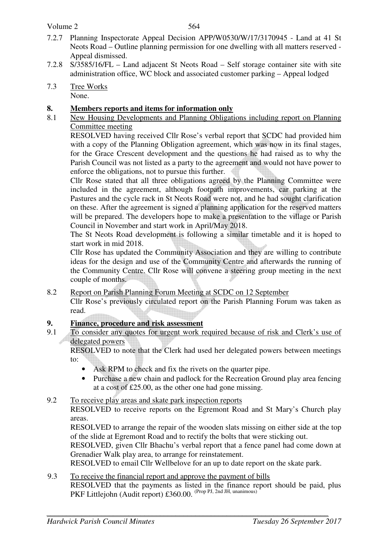#### Volume 2

- 7.2.7 Planning Inspectorate Appeal Decision APP/W0530/W/17/3170945 Land at 41 St Neots Road – Outline planning permission for one dwelling with all matters reserved - Appeal dismissed.
- 7.2.8 S/3585/16/FL Land adjacent St Neots Road Self storage container site with site administration office, WC block and associated customer parking – Appeal lodged
- 7.3 Tree Works None.

## **8. Members reports and items for information only**

8.1 New Housing Developments and Planning Obligations including report on Planning Committee meeting

 RESOLVED having received Cllr Rose's verbal report that SCDC had provided him with a copy of the Planning Obligation agreement, which was now in its final stages, for the Grace Crescent development and the questions he had raised as to why the Parish Council was not listed as a party to the agreement and would not have power to enforce the obligations, not to pursue this further.

Cllr Rose stated that all three obligations agreed by the Planning Committee were included in the agreement, although footpath improvements, car parking at the Pastures and the cycle rack in St Neots Road were not, and he had sought clarification on these. After the agreement is signed a planning application for the reserved matters will be prepared. The developers hope to make a presentation to the village or Parish Council in November and start work in April/May 2018.

The St Neots Road development is following a similar timetable and it is hoped to start work in mid 2018.

 Cllr Rose has updated the Community Association and they are willing to contribute ideas for the design and use of the Community Centre and afterwards the running of the Community Centre. Cllr Rose will convene a steering group meeting in the next couple of months.

## 8.2 Report on Parish Planning Forum Meeting at SCDC on 12 September

 Cllr Rose's previously circulated report on the Parish Planning Forum was taken as read.

# **9.** Finance, procedure and risk assessment<br>9.1 To consider any quotes for urgent work re

To consider any quotes for urgent work required because of risk and Clerk's use of delegated powers

 RESOLVED to note that the Clerk had used her delegated powers between meetings to:

- Ask RPM to check and fix the rivets on the quarter pipe.
- Purchase a new chain and padlock for the Recreation Ground play area fencing at a cost of £25.00, as the other one had gone missing.

#### 9.2 To receive play areas and skate park inspection reports

RESOLVED to receive reports on the Egremont Road and St Mary's Church play areas.

RESOLVED to arrange the repair of the wooden slats missing on either side at the top of the slide at Egremont Road and to rectify the bolts that were sticking out.

RESOLVED, given Cllr Bhachu's verbal report that a fence panel had come down at Grenadier Walk play area, to arrange for reinstatement.

RESOLVED to email Cllr Wellbelove for an up to date report on the skate park.

9.3 To receive the financial report and approve the payment of bills RESOLVED that the payments as listed in the finance report should be paid, plus PKF Littlejohn (Audit report) £360.00. <sup>(Prop PJ, 2nd JH, unanimous)</sup>